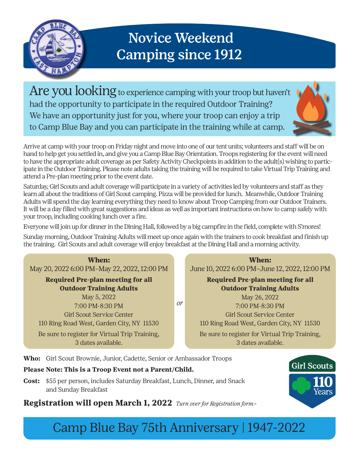

## Novice Weekend Camping since 1912

Are you looking to experience camping with your troop but haven't had the opportunity to participate in the required Outdoor Training? We have an opportunity just for you, where your troop can enjoy a trip to Camp Blue Bay and you can participate in the training while at camp.



Arrive at camp with your troop on Friday night and move into one of our tent units; volunteers and staff will be on hand to help get you settled in, and give you a Camp Blue Bay Orientation. Troops registering for the event will need to have the appropriate adult coverage as per Safety Activity Checkpoints in addition to the adult(s) wishing to participate in the Outdoor Training. Please note adults taking the training will be required to take Virtual Trip Training and attend a Pre-plan meeting prior to the event date.

Saturday, Girl Scouts and adult coverage will participate in a variety of activities led by volunteers and staff as they learn all about the traditions of Girl Scout camping. Pizza will be provided for lunch. Meanwhile, Outdoor Training Adults will spend the day learning everything they need to know about Troop Camping from our Outdoor Trainers. It will be a day filled with great suggestions and ideas as well as important instructions on how to camp safely with your troop, including cooking lunch over a fire.

Everyone will join up for dinner in the Dining Hall, followed by a big campfire in the field, complete with S'mores!

Sunday morning, Outdoor Training Adults will meet up once again with the trainers to cook breakfast and finish up the training. Girl Scouts and adult coverage will enjoy breakfast at the Dining Hall and a morning activity.



**When:**  June 10, 2022 6:00 PM–June 12, 2022, 12:00 PM

**Required Pre-plan meeting for all Outdoor Training Adults** May 26, 2022 7:00 PM-8:30 PM Girl Scout Service Center 110 Ring Road West, Garden City, NY 11530 Be sure to register for Virtual Trip Training, 3 dates available.

**Who:** Girl Scout Brownie, Junior, Cadette, Senior or Ambassador Troops

## **Please Note: This is a Troop Event not a Parent/Child.**

**Cost:** \$55 per person, includes Saturday Breakfast, Lunch, Dinner, and Snack and Sunday Breakfast

**Registration will open March 1, 2022** *Turn over for Registration form>*

Girl Scouts

## Camp Blue Bay 75th Anniversary | 1947-2022